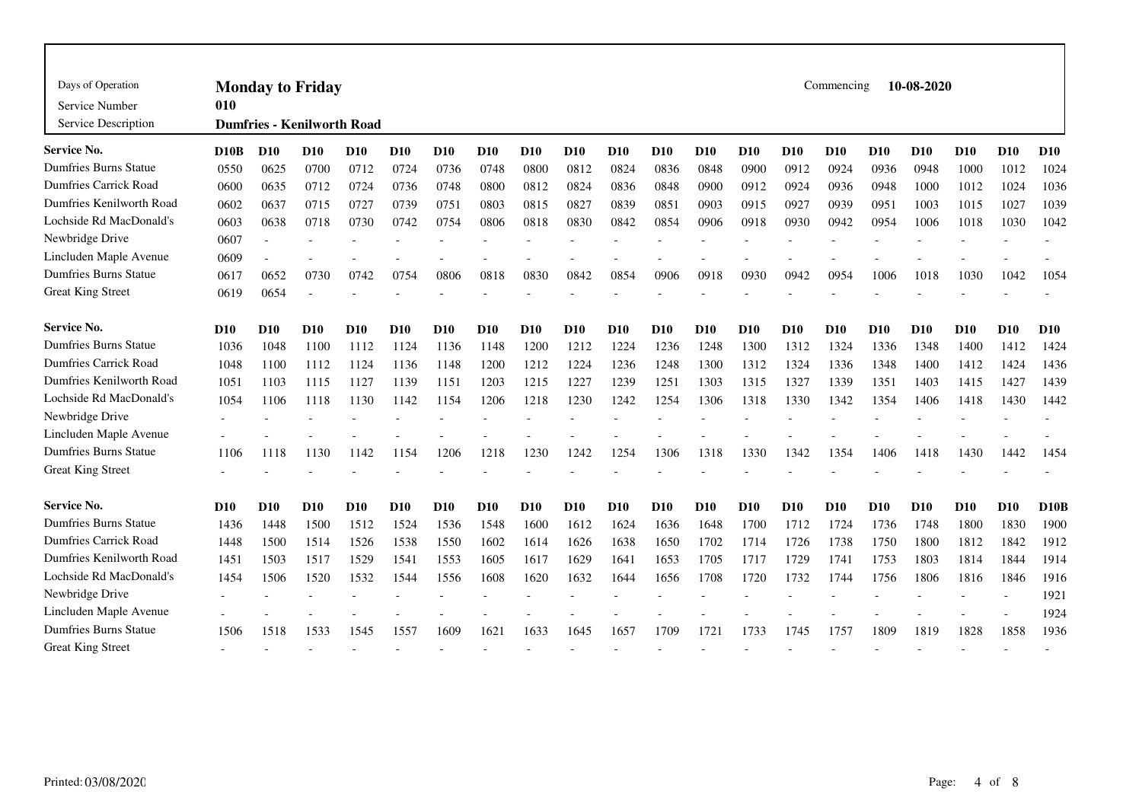| Days of Operation<br>Service Number<br>Service Description | Commencing<br>10-08-2020<br><b>Monday to Friday</b><br>010<br><b>Dumfries - Kenilworth Road</b> |            |            |                 |                 |            |            |            |            |            |            |            |                 |            |            |            |            |                 |            |             |
|------------------------------------------------------------|-------------------------------------------------------------------------------------------------|------------|------------|-----------------|-----------------|------------|------------|------------|------------|------------|------------|------------|-----------------|------------|------------|------------|------------|-----------------|------------|-------------|
| Service No.                                                | D10B                                                                                            | <b>D10</b> | <b>D10</b> | <b>D10</b>      | <b>D10</b>      | <b>D10</b> | <b>D10</b> | <b>D10</b> | <b>D10</b> | <b>D10</b> | <b>D10</b> | <b>D10</b> | D <sub>10</sub> | <b>D10</b> | <b>D10</b> | <b>D10</b> | <b>D10</b> | D <sub>10</sub> | <b>D10</b> | <b>D10</b>  |
| <b>Dumfries Burns Statue</b>                               | 0550                                                                                            | 0625       | 0700       | 0712            | 0724            | 0736       | 0748       | 0800       | 0812       | 0824       | 0836       | 0848       | 0900            | 0912       | 0924       | 0936       | 0948       | 1000            | 1012       | 1024        |
| <b>Dumfries Carrick Road</b>                               | 0600                                                                                            | 0635       | 0712       | 0724            | 0736            | 0748       | 0800       | 0812       | 0824       | 0836       | 0848       | 0900       | 0912            | 0924       | 0936       | 0948       | 1000       | 1012            | 1024       | 1036        |
| Dumfries Kenilworth Road                                   | 0602                                                                                            | 0637       | 0715       | 0727            | 0739            | 0751       | 0803       | 0815       | 0827       | 0839       | 0851       | 0903       | 0915            | 0927       | 0939       | 0951       | 1003       | 1015            | 1027       | 1039        |
| Lochside Rd MacDonald's                                    | 0603                                                                                            | 0638       | 0718       | 0730            | 0742            | 0754       | 0806       | 0818       | 0830       | 0842       | 0854       | 0906       | 0918            | 0930       | 0942       | 0954       | 1006       | 1018            | 1030       | 1042        |
| Newbridge Drive                                            | 0607                                                                                            |            |            |                 |                 |            |            |            |            |            |            |            |                 |            |            |            |            |                 |            |             |
| Lincluden Maple Avenue                                     | 0609                                                                                            |            |            |                 |                 |            |            |            |            |            |            |            |                 |            |            |            |            |                 |            |             |
| <b>Dumfries Burns Statue</b>                               | 0617                                                                                            | 0652       | 0730       | 0742            | 0754            | 0806       | 0818       | 0830       | 0842       | 0854       | 0906       | 0918       | 0930            | 0942       | 0954       | 1006       | 1018       | 1030            | 1042       | 1054        |
| <b>Great King Street</b>                                   | 0619                                                                                            | 0654       |            |                 |                 |            |            |            |            |            |            |            |                 |            |            |            |            |                 |            |             |
| <b>Service No.</b>                                         | D <sub>10</sub>                                                                                 | <b>D10</b> | <b>D10</b> | D <sub>10</sub> | D <sub>10</sub> | <b>D10</b> | <b>D10</b> | <b>D10</b> | <b>D10</b> | <b>D10</b> | D10        | <b>D10</b> | <b>D10</b>      | <b>D10</b> | <b>D10</b> | <b>D10</b> | <b>D10</b> | <b>D10</b>      | <b>D10</b> | <b>D10</b>  |
| <b>Dumfries Burns Statue</b>                               | 1036                                                                                            | 1048       | 1100       | 1112            | 1124            | 1136       | 1148       | 1200       | 1212       | 1224       | 1236       | 1248       | 1300            | 1312       | 1324       | 1336       | 1348       | 1400            | 1412       | 1424        |
| <b>Dumfries Carrick Road</b>                               | 1048                                                                                            | 1100       | 1112       | 1124            | 1136            | 1148       | 1200       | 1212       | 1224       | 1236       | 1248       | 1300       | 1312            | 1324       | 1336       | 1348       | 1400       | 1412            | 1424       | 1436        |
| Dumfries Kenilworth Road                                   | 1051                                                                                            | 1103       | 1115       | 1127            | 1139            | 1151       | 1203       | 1215       | 1227       | 1239       | 1251       | 1303       | 1315            | 1327       | 1339       | 1351       | 1403       | 1415            | 1427       | 1439        |
| Lochside Rd MacDonald's                                    | 1054                                                                                            | 1106       | 1118       | 1130            | 1142            | 1154       | 1206       | 1218       | 1230       | 1242       | 1254       | 1306       | 1318            | 1330       | 1342       | 1354       | 1406       | 1418            | 1430       | 1442        |
| Newbridge Drive                                            |                                                                                                 |            |            |                 |                 |            |            |            |            |            |            |            |                 |            |            |            |            |                 |            |             |
| Lincluden Maple Avenue                                     |                                                                                                 |            |            |                 |                 |            |            |            |            |            |            |            |                 |            |            |            |            |                 |            |             |
| <b>Dumfries Burns Statue</b>                               | 1106                                                                                            | 1118       | 1130       | 1142            | 1154            | 1206       | 1218       | 1230       | 1242       | 1254       | 1306       | 1318       | 1330            | 1342       | 1354       | 1406       | 1418       | 1430            | 1442       | 1454        |
| <b>Great King Street</b>                                   |                                                                                                 |            |            |                 |                 |            |            |            |            |            |            |            |                 |            |            |            |            |                 |            |             |
| <b>Service No.</b>                                         | D10                                                                                             | <b>D10</b> | <b>D10</b> | <b>D10</b>      | <b>D10</b>      | <b>D10</b> | <b>D10</b> | <b>D10</b> | <b>D10</b> | <b>D10</b> | <b>D10</b> | <b>D10</b> | <b>D10</b>      | <b>D10</b> | <b>D10</b> | <b>D10</b> | <b>D10</b> | <b>D10</b>      | <b>D10</b> | <b>D10B</b> |
| <b>Dumfries Burns Statue</b>                               | 1436                                                                                            | 1448       | 1500       | 1512            | 1524            | 1536       | 1548       | 1600       | 1612       | 1624       | 1636       | 1648       | 1700            | 1712       | 1724       | 1736       | 1748       | 1800            | 1830       | 1900        |
| <b>Dumfries Carrick Road</b>                               | 1448                                                                                            | 1500       | 1514       | 1526            | 1538            | 1550       | 1602       | 1614       | 1626       | 1638       | 1650       | 1702       | 1714            | 1726       | 1738       | 1750       | 1800       | 1812            | 1842       | 1912        |
| Dumfries Kenilworth Road                                   | 1451                                                                                            | 1503       | 1517       | 1529            | 1541            | 1553       | 1605       | 1617       | 1629       | 1641       | 1653       | 1705       | 1717            | 1729       | 1741       | 1753       | 1803       | 1814            | 1844       | 1914        |
| Lochside Rd MacDonald's                                    | 1454                                                                                            | 1506       | 1520       | 1532            | 1544            | 1556       | 1608       | 1620       | 1632       | 1644       | 1656       | 1708       | 1720            | 1732       | 1744       | 1756       | 1806       | 1816            | 1846       | 1916        |
| Newbridge Drive                                            |                                                                                                 |            |            |                 |                 |            |            |            |            |            |            |            |                 |            |            |            |            |                 |            | 1921        |
| Lincluden Maple Avenue                                     |                                                                                                 |            |            |                 |                 |            |            |            |            |            |            |            |                 |            |            |            |            |                 |            | 1924        |
| <b>Dumfries Burns Statue</b>                               | 1506                                                                                            | 1518       | 1533       | 1545            | 1557            | 1609       | 1621       | 1633       | 1645       | 1657       | 1709       | 1721       | 1733            | 1745       | 1757       | 1809       | 1819       | 1828            | 1858       | 1936        |
| <b>Great King Street</b>                                   |                                                                                                 |            |            |                 |                 |            |            |            |            |            |            |            |                 |            |            |            |            |                 |            |             |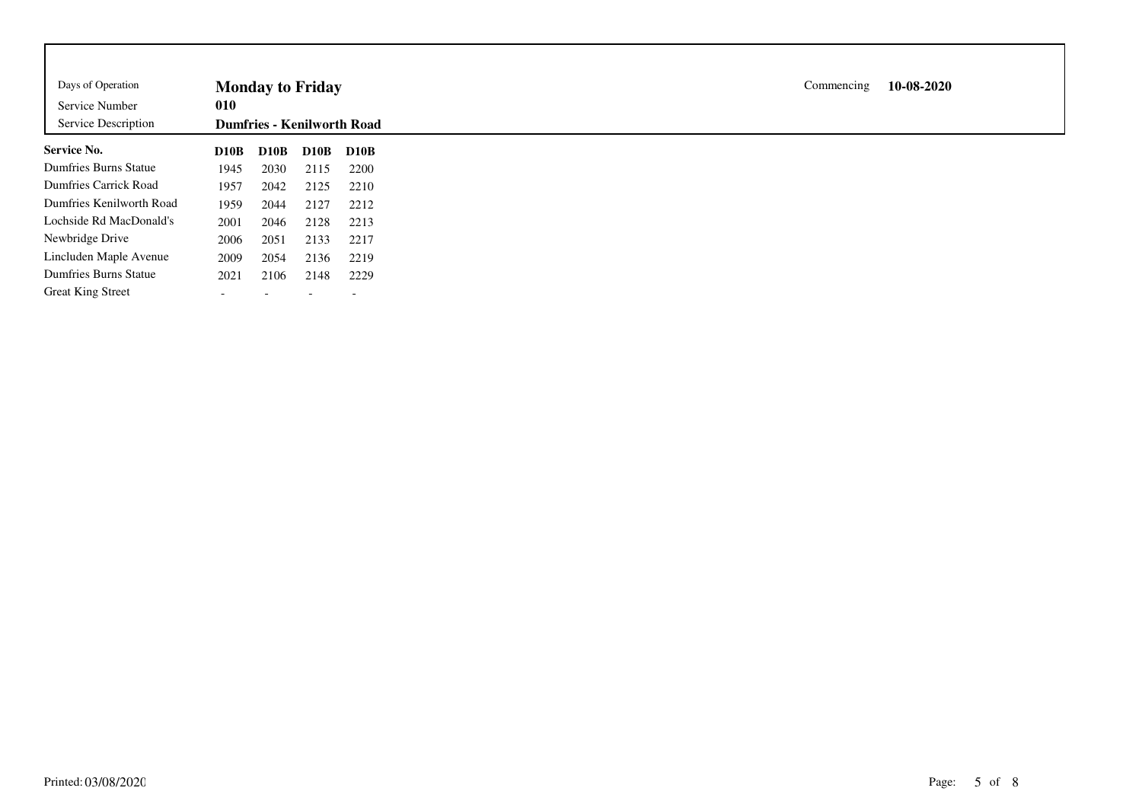| Days of Operation<br>Service Number<br>Service Description | <b>Monday to Friday</b><br>010<br><b>Dumfries - Kenilworth Road</b> |             |             |                          |  |  |
|------------------------------------------------------------|---------------------------------------------------------------------|-------------|-------------|--------------------------|--|--|
| <b>Service No.</b>                                         | D10B                                                                | <b>D10B</b> | <b>D10B</b> | D10B                     |  |  |
| Dumfries Burns Statue                                      | 1945                                                                | 2030        | 2115        | 2200                     |  |  |
| Dumfries Carrick Road                                      | 1957                                                                | 2042        | 2125        | 2210                     |  |  |
| Dumfries Kenilworth Road                                   | 1959                                                                | 2044        | 2127        | 2212                     |  |  |
| Lochside Rd MacDonald's                                    | 2001                                                                | 2046        | 2128        | 2213                     |  |  |
| Newbridge Drive                                            | 2006                                                                | 2051        | 2133        | 2217                     |  |  |
| Lincluden Maple Avenue                                     | 2009                                                                | 2054        | 2136        | 2219                     |  |  |
| <b>Dumfries Burns Statue</b>                               | 2021                                                                | 2106        | 2148        | 2229                     |  |  |
| <b>Great King Street</b>                                   |                                                                     |             |             | $\overline{\phantom{a}}$ |  |  |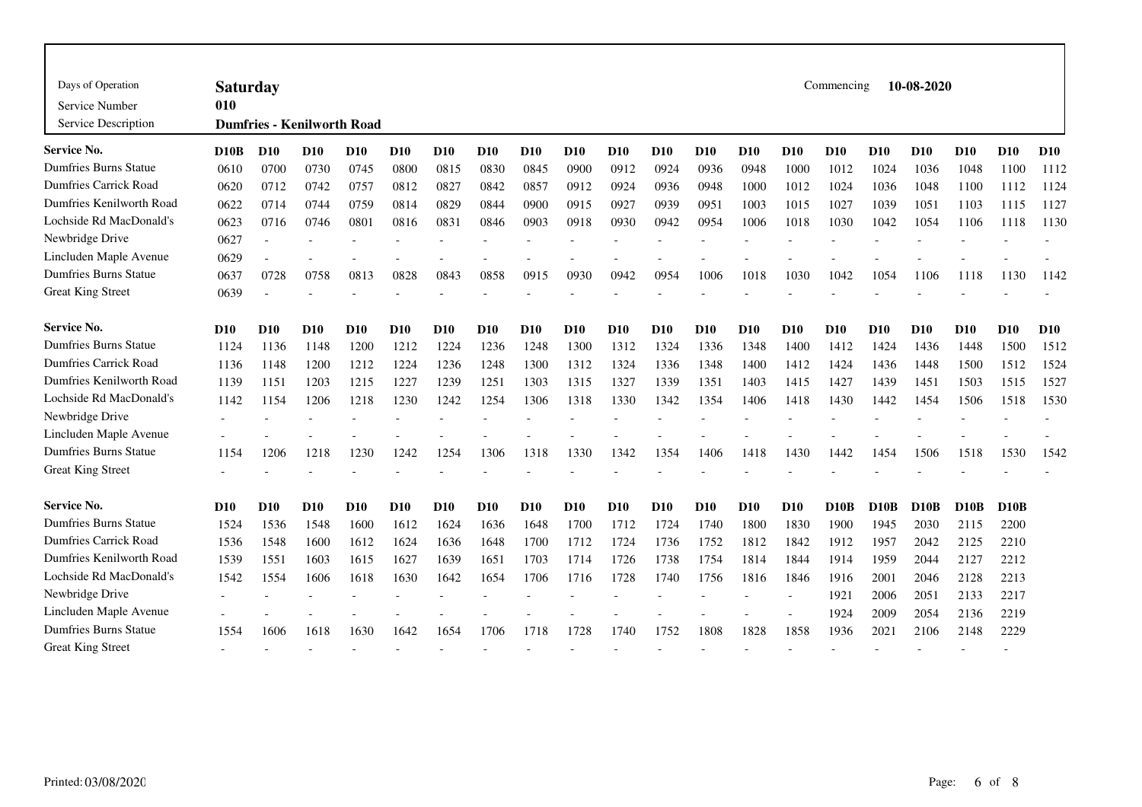| Days of Operation<br>Service Number<br>Service Description | 010             | Commencing<br>10-08-2020<br><b>Saturday</b><br><b>Dumfries - Kenilworth Road</b> |            |                 |            |            |            |                 |            |            |            |            |            |            |            |                 |            |                   |            |            |
|------------------------------------------------------------|-----------------|----------------------------------------------------------------------------------|------------|-----------------|------------|------------|------------|-----------------|------------|------------|------------|------------|------------|------------|------------|-----------------|------------|-------------------|------------|------------|
| Service No.                                                | D10B            | <b>D10</b>                                                                       | <b>D10</b> | <b>D10</b>      | <b>D10</b> | <b>D10</b> | <b>D10</b> | D <sub>10</sub> | <b>D10</b> | <b>D10</b> | <b>D10</b> | <b>D10</b> | <b>D10</b> | <b>D10</b> | <b>D10</b> | <b>D10</b>      | <b>D10</b> | <b>D10</b>        | <b>D10</b> | <b>D10</b> |
| Dumfries Burns Statue                                      | 0610            | 0700                                                                             | 0730       | 0745            | 0800       | 0815       | 0830       | 0845            | 0900       | 0912       | 0924       | 0936       | 0948       | 1000       | 1012       | 1024            | 1036       | 1048              | 1100       | 1112       |
| <b>Dumfries Carrick Road</b>                               | 0620            | 0712                                                                             | 0742       | 0757            | 0812       | 0827       | 0842       | 0857            | 0912       | 0924       | 0936       | 0948       | 1000       | 1012       | 1024       | 1036            | 1048       | 1100              | 1112       | 1124       |
| Dumfries Kenilworth Road                                   | 0622            | 0714                                                                             | 0744       | 0759            | 0814       | 0829       | 0844       | 0900            | 0915       | 0927       | 0939       | 0951       | 1003       | 1015       | 1027       | 1039            | 1051       | 1103              | 1115       | 1127       |
| Lochside Rd MacDonald's                                    | 0623            | 0716                                                                             | 0746       | 0801            | 0816       | 0831       | 0846       | 0903            | 0918       | 0930       | 0942       | 0954       | 1006       | 1018       | 1030       | 1042            | 1054       | 1106              | 1118       | 1130       |
| Newbridge Drive                                            | 0627            |                                                                                  |            |                 |            |            |            |                 |            |            |            |            |            |            |            |                 |            |                   |            |            |
| Lincluden Maple Avenue                                     | 0629            |                                                                                  |            |                 |            |            |            |                 |            |            |            |            |            |            |            |                 |            |                   |            |            |
| <b>Dumfries Burns Statue</b>                               | 0637            | 0728                                                                             | 0758       | 0813            | 0828       | 0843       | 0858       | 0915            | 0930       | 0942       | 0954       | 1006       | 1018       | 1030       | 1042       | 1054            | 1106       | 1118              | 1130       | 1142       |
| <b>Great King Street</b>                                   | 0639            |                                                                                  |            |                 |            |            |            |                 |            |            |            |            |            |            |            |                 |            |                   |            |            |
| <b>Service No.</b>                                         | D <sub>10</sub> | D <sub>10</sub>                                                                  | <b>D10</b> | D <sub>10</sub> | <b>D10</b> | <b>D10</b> | <b>D10</b> | <b>D10</b>      | <b>D10</b> | <b>D10</b> | <b>D10</b> | <b>D10</b> | <b>D10</b> | <b>D10</b> | <b>D10</b> | D <sub>10</sub> | <b>D10</b> | <b>D10</b>        | <b>D10</b> | <b>D10</b> |
| <b>Dumfries Burns Statue</b>                               | 1124            | 1136                                                                             | 1148       | 1200            | 1212       | 1224       | 1236       | 1248            | 1300       | 1312       | 1324       | 1336       | 1348       | 1400       | 1412       | 1424            | 1436       | 1448              | 1500       | 1512       |
| <b>Dumfries Carrick Road</b>                               | 1136            | 1148                                                                             | 1200       | 1212            | 1224       | 1236       | 1248       | 1300            | 1312       | 1324       | 1336       | 1348       | 1400       | 1412       | 1424       | 1436            | 1448       | 1500              | 1512       | 1524       |
| Dumfries Kenilworth Road                                   | 1139            | 1151                                                                             | 1203       | 1215            | 1227       | 1239       | 1251       | 1303            | 1315       | 1327       | 1339       | 1351       | 1403       | 1415       | 1427       | 1439            | 1451       | 1503              | 1515       | 1527       |
| Lochside Rd MacDonald's                                    | 1142            | 1154                                                                             | 1206       | 1218            | 1230       | 1242       | 1254       | 1306            | 1318       | 1330       | 1342       | 1354       | 1406       | 1418       | 1430       | 1442            | 1454       | 1506              | 1518       | 1530       |
| Newbridge Drive                                            |                 |                                                                                  |            |                 |            |            |            |                 |            |            |            |            |            |            |            |                 |            |                   |            |            |
| Lincluden Maple Avenue                                     |                 |                                                                                  |            |                 |            |            |            |                 |            |            |            |            |            |            |            |                 |            |                   |            |            |
| <b>Dumfries Burns Statue</b>                               | 1154            | 1206                                                                             | 1218       | 1230            | 1242       | 1254       | 1306       | 1318            | 1330       | 1342       | 1354       | 1406       | 1418       | 1430       | 1442       | 1454            | 1506       | 1518              | 1530       | 1542       |
| <b>Great King Street</b>                                   |                 |                                                                                  |            |                 |            |            |            |                 |            |            |            |            |            |            |            |                 |            |                   |            |            |
| <b>Service No.</b>                                         | D10             | <b>D10</b>                                                                       | <b>D10</b> | <b>D10</b>      | <b>D10</b> | <b>D10</b> | <b>D10</b> | <b>D10</b>      | <b>D10</b> | <b>D10</b> | <b>D10</b> | <b>D10</b> | <b>D10</b> | <b>D10</b> | D10B       | <b>D10B</b>     | D10B       | D <sub>10</sub> B | D10B       |            |
| <b>Dumfries Burns Statue</b>                               | 1524            | 1536                                                                             | 1548       | 1600            | 1612       | 1624       | 1636       | 1648            | 1700       | 1712       | 1724       | 1740       | 1800       | 1830       | 1900       | 1945            | 2030       | 2115              | 2200       |            |
| <b>Dumfries Carrick Road</b>                               | 1536            | 1548                                                                             | 1600       | 1612            | 1624       | 1636       | 1648       | 1700            | 1712       | 1724       | 1736       | 1752       | 1812       | 1842       | 1912       | 1957            | 2042       | 2125              | 2210       |            |
| Dumfries Kenilworth Road                                   | 1539            | 1551                                                                             | 1603       | 1615            | 1627       | 1639       | 1651       | 1703            | 1714       | 1726       | 1738       | 1754       | 1814       | 1844       | 1914       | 1959            | 2044       | 2127              | 2212       |            |
| Lochside Rd MacDonald's                                    | 1542            | 1554                                                                             | 1606       | 1618            | 1630       | 1642       | 1654       | 1706            | 1716       | 1728       | 1740       | 1756       | 1816       | 1846       | 1916       | 2001            | 2046       | 2128              | 2213       |            |
| Newbridge Drive                                            |                 |                                                                                  |            |                 |            |            |            |                 |            |            |            |            |            |            | 1921       | 2006            | 2051       | 2133              | 2217       |            |
| Lincluden Maple Avenue                                     |                 |                                                                                  |            |                 |            |            |            |                 |            |            |            |            |            |            | 1924       | 2009            | 2054       | 2136              | 2219       |            |
| <b>Dumfries Burns Statue</b>                               | 1554            | 1606                                                                             | 1618       | 1630            | 1642       | 1654       | 1706       | 1718            | 1728       | 1740       | 1752       | 1808       | 1828       | 1858       | 1936       | 2021            | 2106       | 2148              | 2229       |            |
| <b>Great King Street</b>                                   |                 |                                                                                  |            |                 |            |            |            |                 |            |            |            |            |            |            |            |                 |            |                   |            |            |